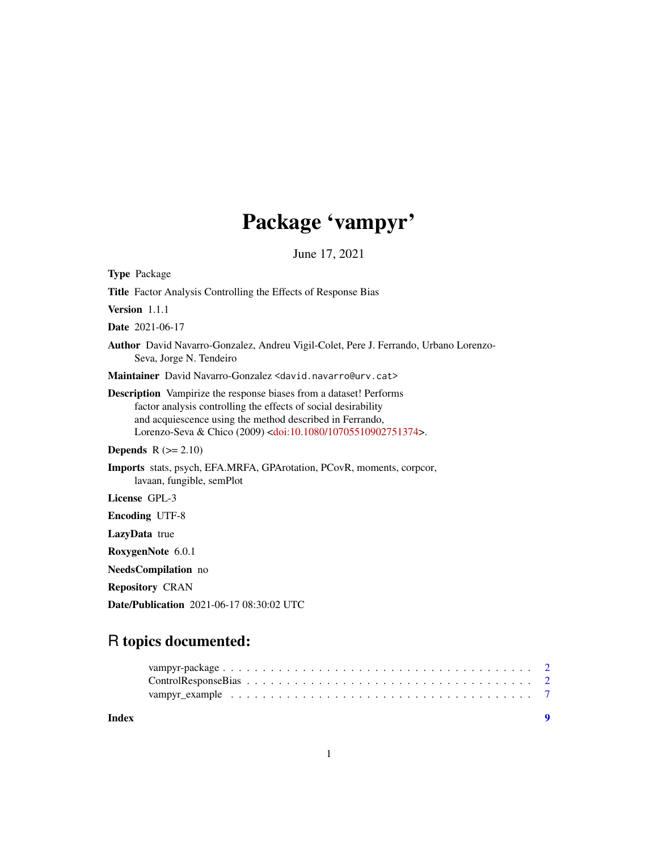# Package 'vampyr'

June 17, 2021

<span id="page-0-0"></span>

| <b>Type Package</b>                                                                                                                                                                                                                                                                      |
|------------------------------------------------------------------------------------------------------------------------------------------------------------------------------------------------------------------------------------------------------------------------------------------|
| <b>Title</b> Factor Analysis Controlling the Effects of Response Bias                                                                                                                                                                                                                    |
| Version 1.1.1                                                                                                                                                                                                                                                                            |
| <b>Date</b> 2021-06-17                                                                                                                                                                                                                                                                   |
| Author David Navarro-Gonzalez, Andreu Vigil-Colet, Pere J. Ferrando, Urbano Lorenzo-<br>Seva, Jorge N. Tendeiro                                                                                                                                                                          |
| Maintainer David Navarro-Gonzalez <david.navarro@urv.cat></david.navarro@urv.cat>                                                                                                                                                                                                        |
| <b>Description</b> Vampirize the response biases from a dataset! Performs<br>factor analysis controlling the effects of social desirability<br>and acquiescence using the method described in Ferrando,<br>Lorenzo-Seva & Chico (2009) <doi:10.1080 10705510902751374="">.</doi:10.1080> |
| <b>Depends</b> $R (= 2.10)$                                                                                                                                                                                                                                                              |
| Imports stats, psych, EFA.MRFA, GPArotation, PCovR, moments, corpcor,<br>lavaan, fungible, semPlot                                                                                                                                                                                       |
| License GPL-3                                                                                                                                                                                                                                                                            |
| <b>Encoding UTF-8</b>                                                                                                                                                                                                                                                                    |
| LazyData true                                                                                                                                                                                                                                                                            |
| RoxygenNote 6.0.1                                                                                                                                                                                                                                                                        |
| NeedsCompilation no                                                                                                                                                                                                                                                                      |
| <b>Repository CRAN</b>                                                                                                                                                                                                                                                                   |
| <b>Date/Publication</b> 2021-06-17 08:30:02 UTC                                                                                                                                                                                                                                          |

# R topics documented:

| Index |  |  |  |  |  |  |  |  |  |  |  |  |
|-------|--|--|--|--|--|--|--|--|--|--|--|--|
|       |  |  |  |  |  |  |  |  |  |  |  |  |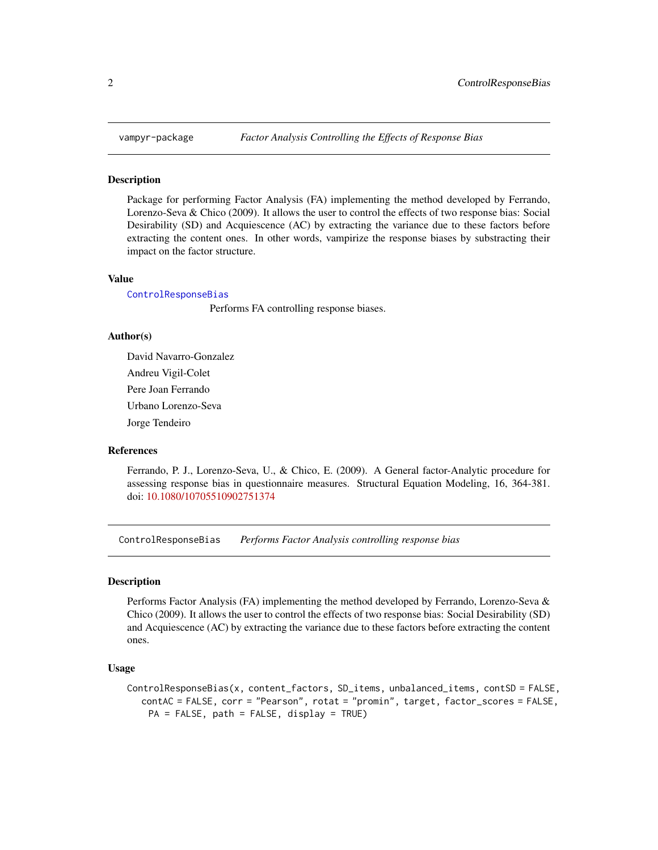<span id="page-1-0"></span>

#### Description

Package for performing Factor Analysis (FA) implementing the method developed by Ferrando, Lorenzo-Seva & Chico (2009). It allows the user to control the effects of two response bias: Social Desirability (SD) and Acquiescence (AC) by extracting the variance due to these factors before extracting the content ones. In other words, vampirize the response biases by substracting their impact on the factor structure.

#### Value

[ControlResponseBias](#page-1-1)

Performs FA controlling response biases.

#### Author(s)

David Navarro-Gonzalez Andreu Vigil-Colet Pere Joan Ferrando Urbano Lorenzo-Seva Jorge Tendeiro

#### References

Ferrando, P. J., Lorenzo-Seva, U., & Chico, E. (2009). A General factor-Analytic procedure for assessing response bias in questionnaire measures. Structural Equation Modeling, 16, 364-381. doi: [10.1080/10705510902751374](https://doi.org/10.1080/10705510902751374)

<span id="page-1-1"></span>ControlResponseBias *Performs Factor Analysis controlling response bias*

#### Description

Performs Factor Analysis (FA) implementing the method developed by Ferrando, Lorenzo-Seva & Chico (2009). It allows the user to control the effects of two response bias: Social Desirability (SD) and Acquiescence (AC) by extracting the variance due to these factors before extracting the content ones.

#### Usage

```
ControlResponseBias(x, content_factors, SD_items, unbalanced_items, contSD = FALSE,
  contAC = FALSE, corr = "Pearson", rotat = "promin", target, factor_scores = FALSE,
    PA = FALSE, path = FALSE, display = TRUE)
```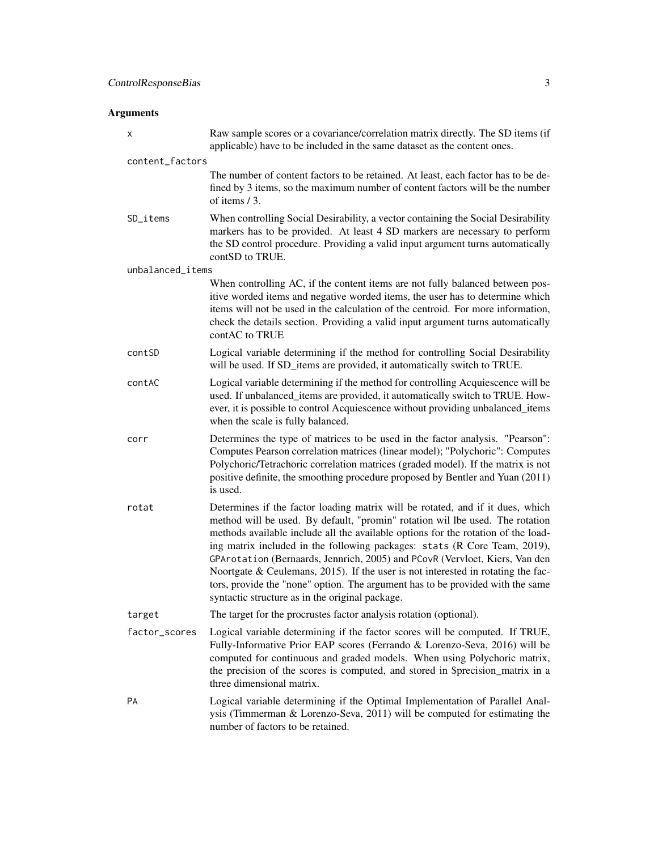# Arguments

| х                | Raw sample scores or a covariance/correlation matrix directly. The SD items (if<br>applicable) have to be included in the same dataset as the content ones.                                                                                                                                                                                                                                                                                                                                                                                                                                                                                  |
|------------------|----------------------------------------------------------------------------------------------------------------------------------------------------------------------------------------------------------------------------------------------------------------------------------------------------------------------------------------------------------------------------------------------------------------------------------------------------------------------------------------------------------------------------------------------------------------------------------------------------------------------------------------------|
| content_factors  |                                                                                                                                                                                                                                                                                                                                                                                                                                                                                                                                                                                                                                              |
|                  | The number of content factors to be retained. At least, each factor has to be de-<br>fined by 3 items, so the maximum number of content factors will be the number<br>of items / 3.                                                                                                                                                                                                                                                                                                                                                                                                                                                          |
| SD_items         | When controlling Social Desirability, a vector containing the Social Desirability<br>markers has to be provided. At least 4 SD markers are necessary to perform<br>the SD control procedure. Providing a valid input argument turns automatically<br>contSD to TRUE.                                                                                                                                                                                                                                                                                                                                                                         |
| unbalanced_items |                                                                                                                                                                                                                                                                                                                                                                                                                                                                                                                                                                                                                                              |
|                  | When controlling AC, if the content items are not fully balanced between pos-<br>itive worded items and negative worded items, the user has to determine which<br>items will not be used in the calculation of the centroid. For more information,<br>check the details section. Providing a valid input argument turns automatically<br>contAC to TRUE                                                                                                                                                                                                                                                                                      |
| contSD           | Logical variable determining if the method for controlling Social Desirability<br>will be used. If SD_items are provided, it automatically switch to TRUE.                                                                                                                                                                                                                                                                                                                                                                                                                                                                                   |
| contAC           | Logical variable determining if the method for controlling Acquiescence will be<br>used. If unbalanced_items are provided, it automatically switch to TRUE. How-<br>ever, it is possible to control Acquiescence without providing unbalanced_items<br>when the scale is fully balanced.                                                                                                                                                                                                                                                                                                                                                     |
| corr             | Determines the type of matrices to be used in the factor analysis. "Pearson":<br>Computes Pearson correlation matrices (linear model); "Polychoric": Computes<br>Polychoric/Tetrachoric correlation matrices (graded model). If the matrix is not<br>positive definite, the smoothing procedure proposed by Bentler and Yuan (2011)<br>is used.                                                                                                                                                                                                                                                                                              |
| rotat            | Determines if the factor loading matrix will be rotated, and if it dues, which<br>method will be used. By default, "promin" rotation wil lbe used. The rotation<br>methods available include all the available options for the rotation of the load-<br>ing matrix included in the following packages: stats (R Core Team, 2019),<br>GPArotation (Bernaards, Jennrich, 2005) and PCovR (Vervloet, Kiers, Van den<br>Noortgate $\&$ Ceulemans, 2015). If the user is not interested in rotating the fac-<br>tors, provide the "none" option. The argument has to be provided with the same<br>syntactic structure as in the original package. |
| target           | The target for the procrustes factor analysis rotation (optional).                                                                                                                                                                                                                                                                                                                                                                                                                                                                                                                                                                           |
| factor_scores    | Logical variable determining if the factor scores will be computed. If TRUE,<br>Fully-Informative Prior EAP scores (Ferrando & Lorenzo-Seva, 2016) will be<br>computed for continuous and graded models. When using Polychoric matrix,<br>the precision of the scores is computed, and stored in \$precision_matrix in a<br>three dimensional matrix.                                                                                                                                                                                                                                                                                        |
| PA               | Logical variable determining if the Optimal Implementation of Parallel Anal-<br>ysis (Timmerman $& Lorenzo-Seva, 2011$ ) will be computed for estimating the<br>number of factors to be retained.                                                                                                                                                                                                                                                                                                                                                                                                                                            |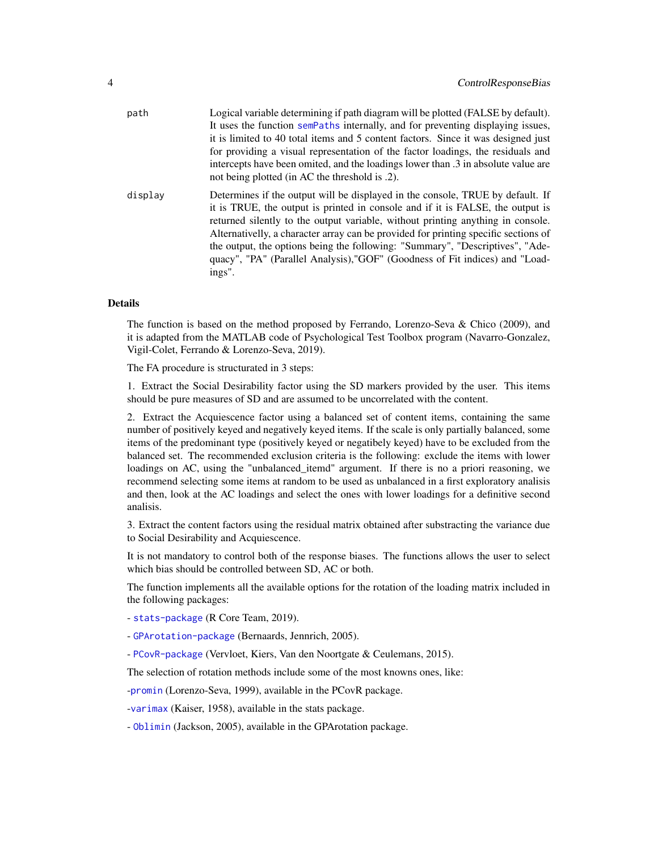<span id="page-3-0"></span>

| path    | Logical variable determining if path diagram will be plotted (FALSE by default).                                                                                                                                                                                                                                                                                                                                                                                                                                      |
|---------|-----------------------------------------------------------------------------------------------------------------------------------------------------------------------------------------------------------------------------------------------------------------------------------------------------------------------------------------------------------------------------------------------------------------------------------------------------------------------------------------------------------------------|
|         | It uses the function semPaths internally, and for preventing displaying issues,                                                                                                                                                                                                                                                                                                                                                                                                                                       |
|         | it is limited to 40 total items and 5 content factors. Since it was designed just                                                                                                                                                                                                                                                                                                                                                                                                                                     |
|         | for providing a visual representation of the factor loadings, the residuals and                                                                                                                                                                                                                                                                                                                                                                                                                                       |
|         | intercepts have been omited, and the loadings lower than .3 in absolute value are<br>not being plotted (in AC the threshold is .2).                                                                                                                                                                                                                                                                                                                                                                                   |
| display | Determines if the output will be displayed in the console, TRUE by default. If<br>it is TRUE, the output is printed in console and if it is FALSE, the output is<br>returned silently to the output variable, without printing anything in console.<br>Alternativelly, a character array can be provided for printing specific sections of<br>the output, the options being the following: "Summary", "Descriptives", "Ade-<br>quacy", "PA" (Parallel Analysis), "GOF" (Goodness of Fit indices) and "Load-<br>ings". |

#### Details

The function is based on the method proposed by Ferrando, Lorenzo-Seva & Chico (2009), and it is adapted from the MATLAB code of Psychological Test Toolbox program (Navarro-Gonzalez, Vigil-Colet, Ferrando & Lorenzo-Seva, 2019).

The FA procedure is structurated in 3 steps:

1. Extract the Social Desirability factor using the SD markers provided by the user. This items should be pure measures of SD and are assumed to be uncorrelated with the content.

2. Extract the Acquiescence factor using a balanced set of content items, containing the same number of positively keyed and negatively keyed items. If the scale is only partially balanced, some items of the predominant type (positively keyed or negatibely keyed) have to be excluded from the balanced set. The recommended exclusion criteria is the following: exclude the items with lower loadings on AC, using the "unbalanced\_itemd" argument. If there is no a priori reasoning, we recommend selecting some items at random to be used as unbalanced in a first exploratory analisis and then, look at the AC loadings and select the ones with lower loadings for a definitive second analisis.

3. Extract the content factors using the residual matrix obtained after substracting the variance due to Social Desirability and Acquiescence.

It is not mandatory to control both of the response biases. The functions allows the user to select which bias should be controlled between SD, AC or both.

The function implements all the available options for the rotation of the loading matrix included in the following packages:

- [stats-package](#page-0-0) (R Core Team, 2019).

- [GPArotation-package](#page-0-0) (Bernaards, Jennrich, 2005).

- [PCovR-package](#page-0-0) (Vervloet, Kiers, Van den Noortgate & Ceulemans, 2015).

The selection of rotation methods include some of the most knowns ones, like:

-[promin](#page-0-0) (Lorenzo-Seva, 1999), available in the PCovR package.

-[varimax](#page-0-0) (Kaiser, 1958), available in the stats package.

- [Oblimin](#page-0-0) (Jackson, 2005), available in the GPArotation package.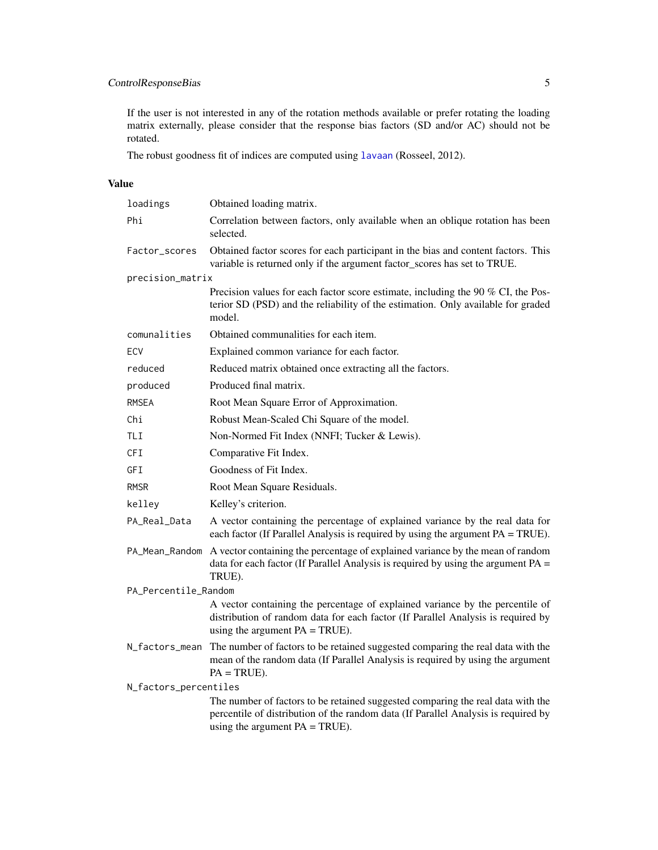## <span id="page-4-0"></span>ControlResponseBias 5

If the user is not interested in any of the rotation methods available or prefer rotating the loading matrix externally, please consider that the response bias factors (SD and/or AC) should not be rotated.

The robust goodness fit of indices are computed using [lavaan](#page-0-0) (Rosseel, 2012).

### Value

| loadings              | Obtained loading matrix.                                                                                                                                                                                   |  |  |  |  |  |  |
|-----------------------|------------------------------------------------------------------------------------------------------------------------------------------------------------------------------------------------------------|--|--|--|--|--|--|
| Phi                   | Correlation between factors, only available when an oblique rotation has been<br>selected.                                                                                                                 |  |  |  |  |  |  |
| Factor_scores         | Obtained factor scores for each participant in the bias and content factors. This<br>variable is returned only if the argument factor_scores has set to TRUE.                                              |  |  |  |  |  |  |
| precision_matrix      |                                                                                                                                                                                                            |  |  |  |  |  |  |
|                       | Precision values for each factor score estimate, including the 90 % CI, the Pos-<br>terior SD (PSD) and the reliability of the estimation. Only available for graded<br>model.                             |  |  |  |  |  |  |
| comunalities          | Obtained communalities for each item.                                                                                                                                                                      |  |  |  |  |  |  |
| ECV                   | Explained common variance for each factor.                                                                                                                                                                 |  |  |  |  |  |  |
| reduced               | Reduced matrix obtained once extracting all the factors.                                                                                                                                                   |  |  |  |  |  |  |
| produced              | Produced final matrix.                                                                                                                                                                                     |  |  |  |  |  |  |
| <b>RMSEA</b>          | Root Mean Square Error of Approximation.                                                                                                                                                                   |  |  |  |  |  |  |
| Chi                   | Robust Mean-Scaled Chi Square of the model.                                                                                                                                                                |  |  |  |  |  |  |
| <b>TLI</b>            | Non-Normed Fit Index (NNFI; Tucker & Lewis).                                                                                                                                                               |  |  |  |  |  |  |
| <b>CFI</b>            | Comparative Fit Index.                                                                                                                                                                                     |  |  |  |  |  |  |
| GFI                   | Goodness of Fit Index.                                                                                                                                                                                     |  |  |  |  |  |  |
| <b>RMSR</b>           | Root Mean Square Residuals.                                                                                                                                                                                |  |  |  |  |  |  |
| kelley                | Kelley's criterion.                                                                                                                                                                                        |  |  |  |  |  |  |
| PA_Real_Data          | A vector containing the percentage of explained variance by the real data for<br>each factor (If Parallel Analysis is required by using the argument $PA = TRUE$ ).                                        |  |  |  |  |  |  |
| PA_Mean_Random        | A vector containing the percentage of explained variance by the mean of random<br>data for each factor (If Parallel Analysis is required by using the argument $PA =$<br>TRUE).                            |  |  |  |  |  |  |
| PA_Percentile_Random  |                                                                                                                                                                                                            |  |  |  |  |  |  |
|                       | A vector containing the percentage of explained variance by the percentile of<br>distribution of random data for each factor (If Parallel Analysis is required by<br>using the argument $PA = TRUE$ ).     |  |  |  |  |  |  |
| N_factors_mean        | The number of factors to be retained suggested comparing the real data with the<br>mean of the random data (If Parallel Analysis is required by using the argument<br>$PA = TRUE$ ).                       |  |  |  |  |  |  |
| N_factors_percentiles |                                                                                                                                                                                                            |  |  |  |  |  |  |
|                       | The number of factors to be retained suggested comparing the real data with the<br>percentile of distribution of the random data (If Parallel Analysis is required by<br>using the argument $PA = TRUE$ ). |  |  |  |  |  |  |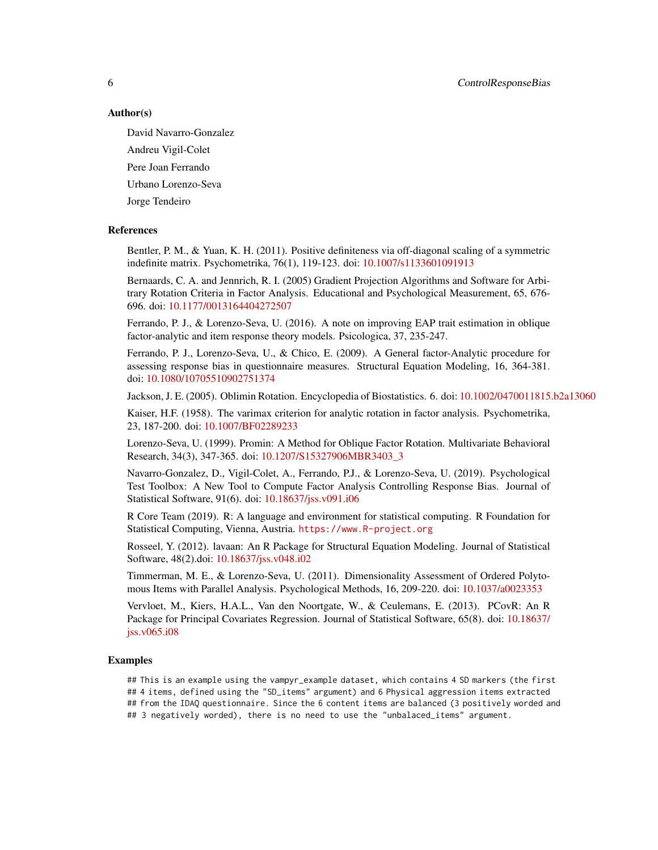6 ControlResponseBias

#### Author(s)

David Navarro-Gonzalez

Andreu Vigil-Colet Pere Joan Ferrando Urbano Lorenzo-Seva

Jorge Tendeiro

#### References

Bentler, P. M., & Yuan, K. H. (2011). Positive definiteness via off-diagonal scaling of a symmetric indefinite matrix. Psychometrika, 76(1), 119-123. doi: [10.1007/s1133601091913](https://doi.org/10.1007/s11336-010-9191-3)

Bernaards, C. A. and Jennrich, R. I. (2005) Gradient Projection Algorithms and Software for Arbitrary Rotation Criteria in Factor Analysis. Educational and Psychological Measurement, 65, 676- 696. doi: [10.1177/0013164404272507](https://doi.org/10.1177/0013164404272507)

Ferrando, P. J., & Lorenzo-Seva, U. (2016). A note on improving EAP trait estimation in oblique factor-analytic and item response theory models. Psicologica, 37, 235-247.

Ferrando, P. J., Lorenzo-Seva, U., & Chico, E. (2009). A General factor-Analytic procedure for assessing response bias in questionnaire measures. Structural Equation Modeling, 16, 364-381. doi: [10.1080/10705510902751374](https://doi.org/10.1080/10705510902751374)

Jackson, J. E. (2005). Oblimin Rotation. Encyclopedia of Biostatistics. 6. doi: [10.1002/0470011815.b2a13060](https://doi.org/10.1002/0470011815.b2a13060)

Kaiser, H.F. (1958). The varimax criterion for analytic rotation in factor analysis. Psychometrika, 23, 187-200. doi: [10.1007/BF02289233](https://doi.org/10.1007/BF02289233)

Lorenzo-Seva, U. (1999). Promin: A Method for Oblique Factor Rotation. Multivariate Behavioral Research, 34(3), 347-365. doi: [10.1207/S15327906MBR3403\\_3](https://doi.org/10.1207/S15327906MBR3403_3)

Navarro-Gonzalez, D., Vigil-Colet, A., Ferrando, P.J., & Lorenzo-Seva, U. (2019). Psychological Test Toolbox: A New Tool to Compute Factor Analysis Controlling Response Bias. Journal of Statistical Software, 91(6). doi: [10.18637/jss.v091.i06](https://doi.org/10.18637/jss.v091.i06)

R Core Team (2019). R: A language and environment for statistical computing. R Foundation for Statistical Computing, Vienna, Austria. <https://www.R-project.org>

Rosseel, Y. (2012). lavaan: An R Package for Structural Equation Modeling. Journal of Statistical Software, 48(2).doi: [10.18637/jss.v048.i02](https://doi.org/10.18637/jss.v048.i02)

Timmerman, M. E., & Lorenzo-Seva, U. (2011). Dimensionality Assessment of Ordered Polytomous Items with Parallel Analysis. Psychological Methods, 16, 209-220. doi: [10.1037/a0023353](https://doi.org/10.1037/a0023353)

Vervloet, M., Kiers, H.A.L., Van den Noortgate, W., & Ceulemans, E. (2013). PCovR: An R Package for Principal Covariates Regression. Journal of Statistical Software, 65(8). doi: [10.18637/](https://doi.org/10.18637/jss.v065.i08) [jss.v065.i08](https://doi.org/10.18637/jss.v065.i08)

#### Examples

## This is an example using the vampyr\_example dataset, which contains 4 SD markers (the first ## 4 items, defined using the "SD\_items" argument) and 6 Physical aggression items extracted ## from the IDAQ questionnaire. Since the 6 content items are balanced (3 positively worded and ## 3 negatively worded), there is no need to use the "unbalaced\_items" argument.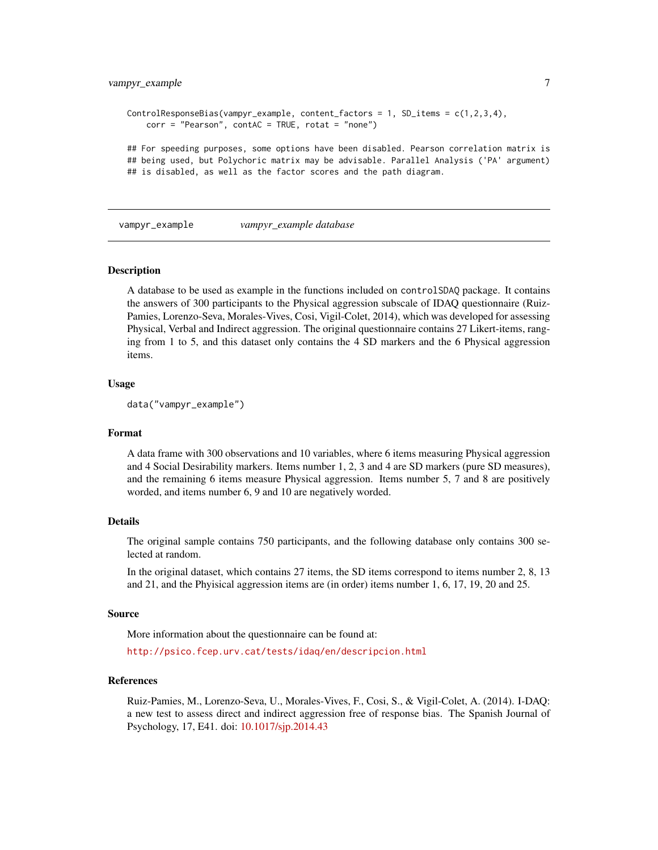### <span id="page-6-0"></span>vampyr\_example 7

```
ControlResponseBias(vampyr_example, content_factors = 1, SD_iitems = c(1,2,3,4),corr = "Pearson", contAC = TRUE, rotat = "none")## For speeding purposes, some options have been disabled. Pearson correlation matrix is
## being used, but Polychoric matrix may be advisable. Parallel Analysis ('PA' argument)
## is disabled, as well as the factor scores and the path diagram.
```
vampyr\_example *vampyr\_example database*

#### Description

A database to be used as example in the functions included on controlSDAQ package. It contains the answers of 300 participants to the Physical aggression subscale of IDAQ questionnaire (Ruiz-Pamies, Lorenzo-Seva, Morales-Vives, Cosi, Vigil-Colet, 2014), which was developed for assessing Physical, Verbal and Indirect aggression. The original questionnaire contains 27 Likert-items, ranging from 1 to 5, and this dataset only contains the 4 SD markers and the 6 Physical aggression items.

#### Usage

```
data("vampyr_example")
```
#### Format

A data frame with 300 observations and 10 variables, where 6 items measuring Physical aggression and 4 Social Desirability markers. Items number 1, 2, 3 and 4 are SD markers (pure SD measures), and the remaining 6 items measure Physical aggression. Items number 5, 7 and 8 are positively worded, and items number 6, 9 and 10 are negatively worded.

#### Details

The original sample contains 750 participants, and the following database only contains 300 selected at random.

In the original dataset, which contains 27 items, the SD items correspond to items number 2, 8, 13 and 21, and the Phyisical aggression items are (in order) items number 1, 6, 17, 19, 20 and 25.

#### Source

More information about the questionnaire can be found at:

<http://psico.fcep.urv.cat/tests/idaq/en/descripcion.html>

#### References

Ruiz-Pamies, M., Lorenzo-Seva, U., Morales-Vives, F., Cosi, S., & Vigil-Colet, A. (2014). I-DAQ: a new test to assess direct and indirect aggression free of response bias. The Spanish Journal of Psychology, 17, E41. doi: [10.1017/sjp.2014.43](https://doi.org/10.1017/sjp.2014.43)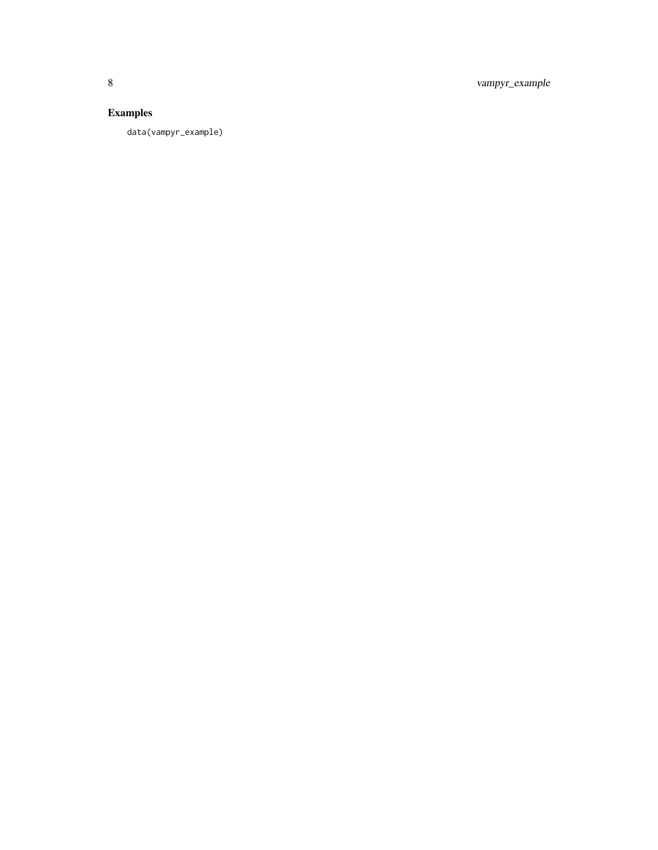8 vampyr\_example

# Examples

data(vampyr\_example)